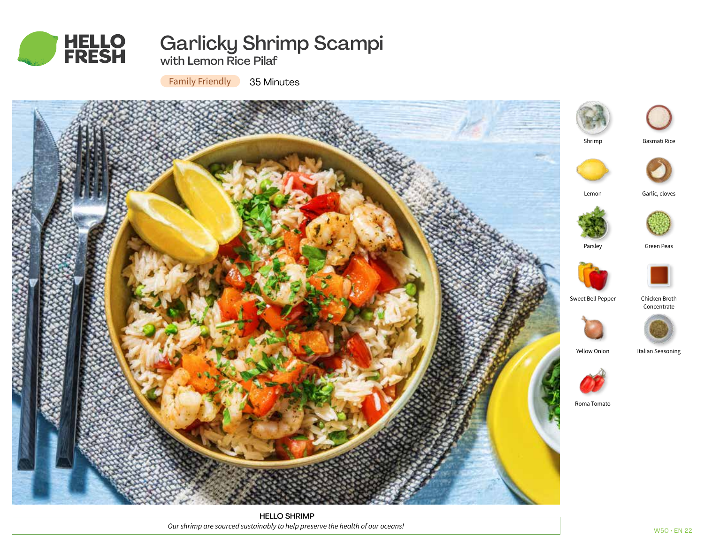

# Garlicky Shrimp Scampi

with Lemon Rice Pilaf

Family Friendly 35 Minutes